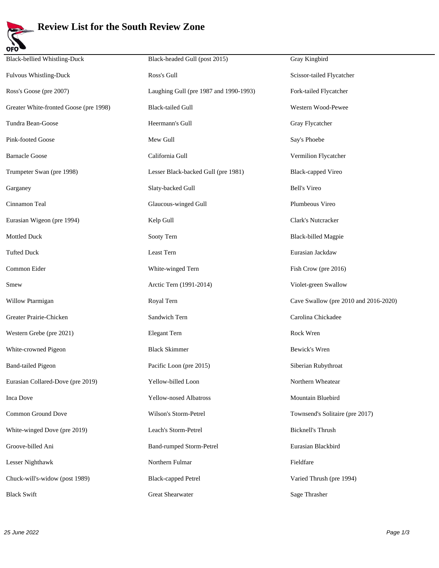

## **Review List for the South Review Zone**

| <b>Black-bellied Whistling-Duck</b>    | Black-headed Gull (post 2015)          | Gray Kingbird                         |
|----------------------------------------|----------------------------------------|---------------------------------------|
| Fulvous Whistling-Duck                 | Ross's Gull                            | Scissor-tailed Flycatcher             |
| Ross's Goose (pre 2007)                | Laughing Gull (pre 1987 and 1990-1993) | Fork-tailed Flycatcher                |
| Greater White-fronted Goose (pre 1998) | <b>Black-tailed Gull</b>               | Western Wood-Pewee                    |
| Tundra Bean-Goose                      | Heermann's Gull                        | Gray Flycatcher                       |
| Pink-footed Goose                      | Mew Gull                               | Say's Phoebe                          |
| <b>Barnacle Goose</b>                  | California Gull                        | Vermilion Flycatcher                  |
| Trumpeter Swan (pre 1998)              | Lesser Black-backed Gull (pre 1981)    | <b>Black-capped Vireo</b>             |
| Garganey                               | Slaty-backed Gull                      | <b>Bell's Vireo</b>                   |
| Cinnamon Teal                          | Glaucous-winged Gull                   | Plumbeous Vireo                       |
| Eurasian Wigeon (pre 1994)             | Kelp Gull                              | Clark's Nutcracker                    |
| Mottled Duck                           | Sooty Tern                             | <b>Black-billed Magpie</b>            |
| <b>Tufted Duck</b>                     | Least Tern                             | Eurasian Jackdaw                      |
| Common Eider                           | White-winged Tern                      | Fish Crow (pre 2016)                  |
| Smew                                   | Arctic Tern (1991-2014)                | Violet-green Swallow                  |
| Willow Ptarmigan                       | Royal Tern                             | Cave Swallow (pre 2010 and 2016-2020) |
| Greater Prairie-Chicken                | Sandwich Tern                          | Carolina Chickadee                    |
| Western Grebe (pre 2021)               | Elegant Tern                           | Rock Wren                             |
| White-crowned Pigeon                   | <b>Black Skimmer</b>                   | Bewick's Wren                         |
| <b>Band-tailed Pigeon</b>              | Pacific Loon (pre 2015)                | Siberian Rubythroat                   |
| Eurasian Collared-Dove (pre 2019)      | Yellow-billed Loon                     | Northern Wheatear                     |
| <b>Inca Dove</b>                       | Yellow-nosed Albatross                 | Mountain Bluebird                     |
| Common Ground Dove                     | Wilson's Storm-Petrel                  | Townsend's Solitaire (pre 2017)       |
| White-winged Dove (pre 2019)           | Leach's Storm-Petrel                   | <b>Bicknell's Thrush</b>              |
| Groove-billed Ani                      | <b>Band-rumped Storm-Petrel</b>        | Eurasian Blackbird                    |
| Lesser Nighthawk                       | Northern Fulmar                        | Fieldfare                             |
| Chuck-will's-widow (post 1989)         | <b>Black-capped Petrel</b>             | Varied Thrush (pre 1994)              |
| <b>Black Swift</b>                     | Great Shearwater                       | Sage Thrasher                         |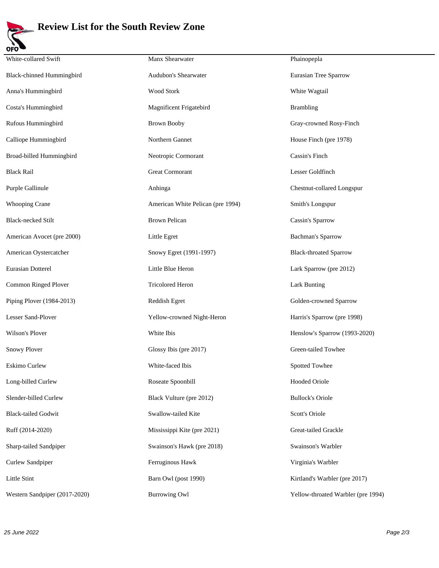

## **Review List for the South Review Zone**

| White-collared Swift             | Manx Shearwater                   | Phainopepla                        |
|----------------------------------|-----------------------------------|------------------------------------|
| <b>Black-chinned Hummingbird</b> | Audubon's Shearwater              | Eurasian Tree Sparrow              |
| Anna's Hummingbird               | Wood Stork                        | White Wagtail                      |
| Costa's Hummingbird              | Magnificent Frigatebird           | <b>Brambling</b>                   |
| Rufous Hummingbird               | <b>Brown Booby</b>                | Gray-crowned Rosy-Finch            |
| Calliope Hummingbird             | Northern Gannet                   | House Finch (pre 1978)             |
| Broad-billed Hummingbird         | Neotropic Cormorant               | Cassin's Finch                     |
| <b>Black Rail</b>                | <b>Great Cormorant</b>            | Lesser Goldfinch                   |
| Purple Gallinule                 | Anhinga                           | Chestnut-collared Longspur         |
| <b>Whooping Crane</b>            | American White Pelican (pre 1994) | Smith's Longspur                   |
| <b>Black-necked Stilt</b>        | <b>Brown Pelican</b>              | Cassin's Sparrow                   |
| American Avocet (pre 2000)       | Little Egret                      | <b>Bachman's Sparrow</b>           |
| American Oystercatcher           | Snowy Egret (1991-1997)           | <b>Black-throated Sparrow</b>      |
| Eurasian Dotterel                | Little Blue Heron                 | Lark Sparrow (pre 2012)            |
| Common Ringed Plover             | <b>Tricolored Heron</b>           | <b>Lark Bunting</b>                |
| Piping Plover (1984-2013)        | Reddish Egret                     | Golden-crowned Sparrow             |
| Lesser Sand-Plover               | Yellow-crowned Night-Heron        | Harris's Sparrow (pre 1998)        |
| Wilson's Plover                  | White Ibis                        | Henslow's Sparrow (1993-2020)      |
| Snowy Plover                     | Glossy Ibis (pre 2017)            | Green-tailed Towhee                |
| Eskimo Curlew                    | White-faced Ibis                  | Spotted Towhee                     |
| Long-billed Curlew               | Roseate Spoonbill                 | Hooded Oriole                      |
| Slender-billed Curlew            | Black Vulture (pre 2012)          | <b>Bullock's Oriole</b>            |
| <b>Black-tailed Godwit</b>       | Swallow-tailed Kite               | Scott's Oriole                     |
| Ruff (2014-2020)                 | Mississippi Kite (pre 2021)       | Great-tailed Grackle               |
| Sharp-tailed Sandpiper           | Swainson's Hawk (pre 2018)        | Swainson's Warbler                 |
| Curlew Sandpiper                 | Ferruginous Hawk                  | Virginia's Warbler                 |
| Little Stint                     | Barn Owl (post 1990)              | Kirtland's Warbler (pre 2017)      |
| Western Sandpiper (2017-2020)    | <b>Burrowing Owl</b>              | Yellow-throated Warbler (pre 1994) |